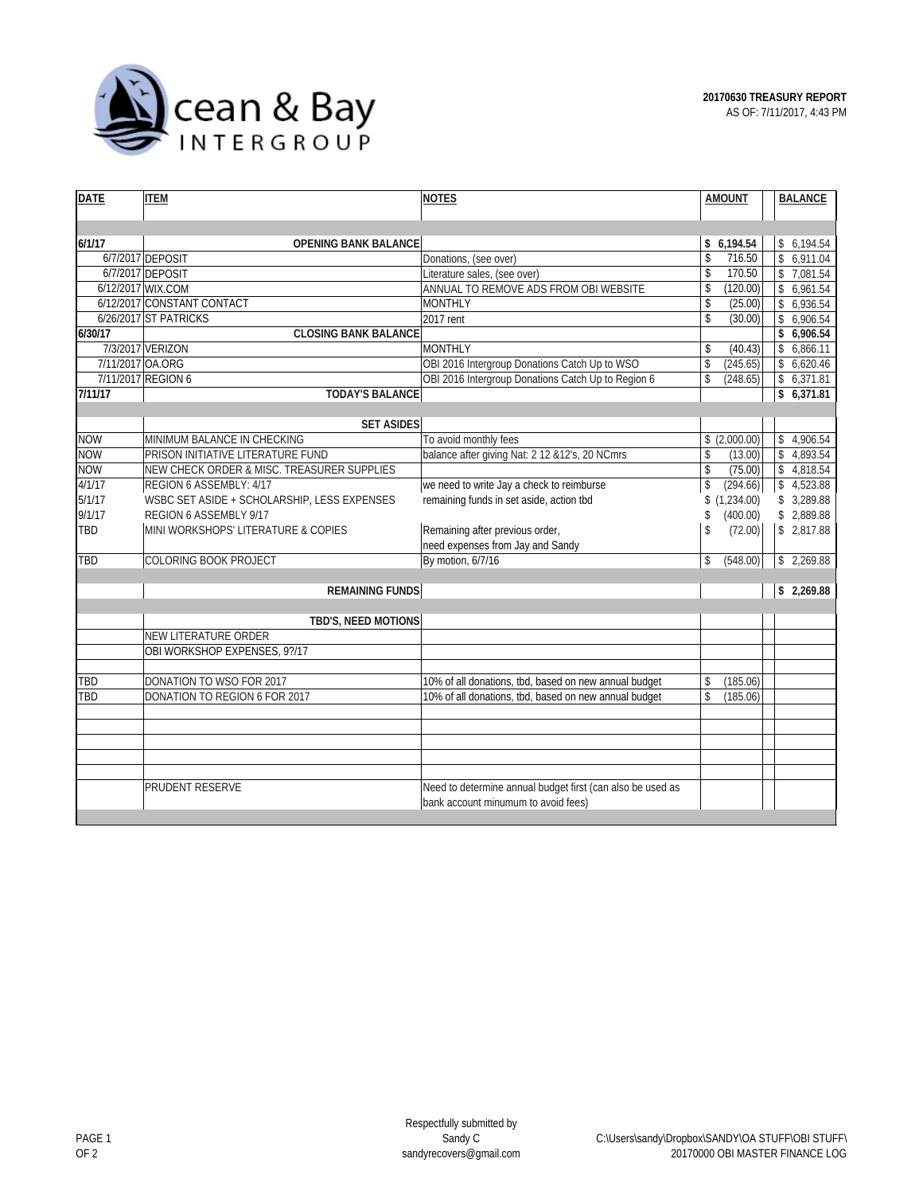

| <b>DATE</b>      | <b>ITEM</b>                                         | <b>NOTES</b>                                               | <b>AMOUNT</b>       | <b>BALANCE</b>            |
|------------------|-----------------------------------------------------|------------------------------------------------------------|---------------------|---------------------------|
|                  |                                                     |                                                            |                     |                           |
|                  |                                                     |                                                            |                     |                           |
| 6/1/17           | <b>OPENING BANK BALANCE</b>                         |                                                            | \$6,194.54          | \$6,194.54                |
|                  | 6/7/2017 DEPOSIT                                    | Donations, (see over)                                      | \$<br>716.50        | \$6,911.04                |
|                  | 6/7/2017 DEPOSIT                                    | Literature sales, (see over)                               | \$<br>170.50        | 7,081.54<br>$\mathsf{\$}$ |
|                  | 6/12/2017 WIX.COM                                   | ANNUAL TO REMOVE ADS FROM OBI WEBSITE                      | (120.00)<br>\$      | \$6,961.54                |
|                  | 6/12/2017 CONSTANT CONTACT<br>6/26/2017 ST PATRICKS | <b>MONTHLY</b>                                             | \$<br>(25.00)<br>\$ | \$6,936.54                |
| 6/30/17          |                                                     | 2017 rent                                                  | (30.00)             | \$6,906.54<br>\$6,906.54  |
|                  | <b>CLOSING BANK BALANCE</b><br>7/3/2017 VERIZON     | <b>MONTHLY</b>                                             |                     |                           |
|                  |                                                     |                                                            | \$<br>(40.43)       | 6,866.11<br>$\mathbb{S}$  |
| 7/11/2017 OA.ORG |                                                     | OBI 2016 Intergroup Donations Catch Up to WSO              | \$<br>(245.65)      | \$6,620.46                |
| 7/11/17          | 7/11/2017 REGION 6                                  | OBI 2016 Intergroup Donations Catch Up to Region 6         | \$<br>(248.65)      | \$6,371.81                |
|                  | <b>TODAY'S BALANCE</b>                              |                                                            |                     | \$6,371.81                |
|                  | <b>SET ASIDES</b>                                   |                                                            |                     |                           |
| <b>NOW</b>       | MINIMUM BALANCE IN CHECKING                         | To avoid monthly fees                                      | \$(2,000.00)        | \$4,906.54                |
| <b>NOW</b>       | PRISON INITIATIVE LITERATURE FUND                   | balance after giving Nat: 2 12 & 12's, 20 NCmrs            | \$<br>(13.00)       | \$4,893.54                |
| <b>NOW</b>       | NEW CHECK ORDER & MISC. TREASURER SUPPLIES          |                                                            | \$<br>(75.00)       | \$4,818.54                |
| 4/1/17           | REGION 6 ASSEMBLY: 4/17                             | we need to write Jay a check to reimburse                  | \$<br>(294.66)      | \$4.523.88                |
| 5/1/17           | WSBC SET ASIDE + SCHOLARSHIP, LESS EXPENSES         | remaining funds in set aside, action tbd                   | \$(1,234.00)        | \$3,289.88                |
| 9/1/17           | REGION 6 ASSEMBLY 9/17                              |                                                            | (400.00)<br>\$      | \$2,889.88                |
| TBD              | MINI WORKSHOPS' LITERATURE & COPIES                 | Remaining after previous order,                            | \$<br>(72.00)       | \$2,817.88                |
|                  |                                                     | need expenses from Jay and Sandy                           |                     |                           |
| TBD              | COLORING BOOK PROJECT                               | By motion, 6/7/16                                          | \$<br>(548.00)      | \$2,269.88                |
|                  |                                                     |                                                            |                     |                           |
|                  | <b>REMAINING FUNDS</b>                              |                                                            | \$2,269.88          |                           |
|                  | TBD'S, NEED MOTIONS                                 |                                                            |                     |                           |
|                  | <b>NEW LITERATURE ORDER</b>                         |                                                            |                     |                           |
|                  | OBI WORKSHOP EXPENSES, 9?/17                        |                                                            |                     |                           |
|                  |                                                     |                                                            |                     |                           |
| TBD              | DONATION TO WSO FOR 2017                            | 10% of all donations, tbd, based on new annual budget      | (185.06)<br>\$      |                           |
| TBD              | DONATION TO REGION 6 FOR 2017                       | 10% of all donations, tbd, based on new annual budget      | \$<br>(185.06)      |                           |
|                  |                                                     |                                                            |                     |                           |
|                  |                                                     |                                                            |                     |                           |
|                  |                                                     |                                                            |                     |                           |
|                  |                                                     |                                                            |                     |                           |
|                  |                                                     |                                                            |                     |                           |
|                  | PRUDENT RESERVE                                     | Need to determine annual budget first (can also be used as |                     |                           |
|                  |                                                     | bank account minumum to avoid fees)                        |                     |                           |